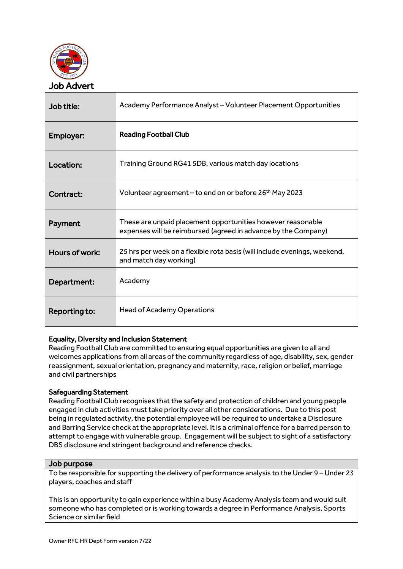

| Job title:     | Academy Performance Analyst – Volunteer Placement Opportunities                                                               |
|----------------|-------------------------------------------------------------------------------------------------------------------------------|
| Employer:      | <b>Reading Football Club</b>                                                                                                  |
| Location:      | Training Ground RG41 5DB, various match day locations                                                                         |
| Contract:      | Volunteer agreement – to end on or before 26 <sup>th</sup> May 2023                                                           |
| Payment        | These are unpaid placement opportunities however reasonable<br>expenses will be reimbursed (agreed in advance by the Company) |
| Hours of work: | 25 hrs per week on a flexible rota basis (will include evenings, weekend,<br>and match day working)                           |
| Department:    | Academy                                                                                                                       |
| Reporting to:  | <b>Head of Academy Operations</b>                                                                                             |

# Equality, Diversity and Inclusion Statement

Reading Football Club are committed to ensuring equal opportunities are given to all and welcomes applications from all areas of the community regardless of age, disability, sex, gender reassignment, sexual orientation, pregnancy and maternity, race, religion or belief, marriage and civil partnerships

# Safeguarding Statement

Reading Football Club recognises that the safety and protection of children and young people engaged in club activities must take priority over all other considerations. Due to this post being in regulated activity, the potential employee will be required to undertake a Disclosure and Barring Service check at the appropriate level. It is a criminal offence for a barred person to attempt to engage with vulnerable group. Engagement will be subject to sight of a satisfactory DBS disclosure and stringent background and reference checks.

## Job purpose

To be responsible for supporting the delivery of performance analysis to the Under 9 – Under 23 players, coaches and staff

This is an opportunity to gain experience within a busy Academy Analysis team and would suit someone who has completed or is working towards a degree in Performance Analysis, Sports Science or similar field